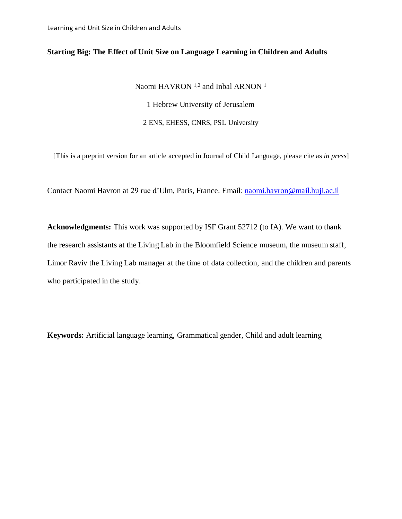# **Starting Big: The Effect of Unit Size on Language Learning in Children and Adults**

Naomi HAVRON<sup>1,2</sup> and Inbal ARNON<sup>1</sup> 1 Hebrew University of Jerusalem 2 ENS, EHESS, CNRS, PSL University

[This is a preprint version for an article accepted in Journal of Child Language, please cite as *in press*]

Contact Naomi Havron at 29 rue d'Ulm, Paris, France. Email: [naomi.havron@mail.huji.ac.il](mailto:naomi.havron@mail.huji.ac.il)

**Acknowledgments:** This work was supported by ISF Grant 52712 (to IA). We want to thank the research assistants at the Living Lab in the Bloomfield Science museum, the museum staff, Limor Raviv the Living Lab manager at the time of data collection, and the children and parents who participated in the study.

**Keywords:** Artificial language learning, Grammatical gender, Child and adult learning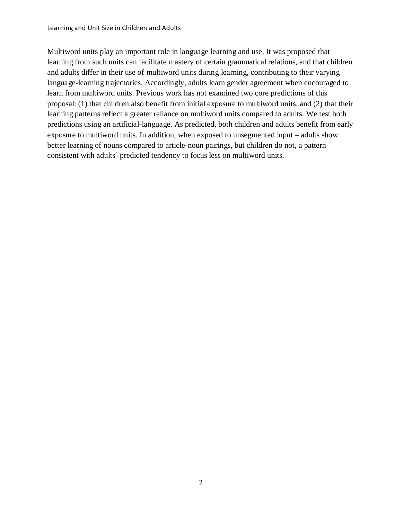Multiword units play an important role in language learning and use. It was proposed that learning from such units can facilitate mastery of certain grammatical relations, and that children and adults differ in their use of multiword units during learning, contributing to their varying language-learning trajectories. Accordingly, adults learn gender agreement when encouraged to learn from multiword units. Previous work has not examined two core predictions of this proposal: (1) that children also benefit from initial exposure to multiword units, and (2) that their learning patterns reflect a greater reliance on multiword units compared to adults. We test both predictions using an artificial-language. As predicted, both children and adults benefit from early exposure to multiword units. In addition, when exposed to unsegmented input – adults show better learning of nouns compared to article-noun pairings, but children do not, a pattern consistent with adults' predicted tendency to focus less on multiword units.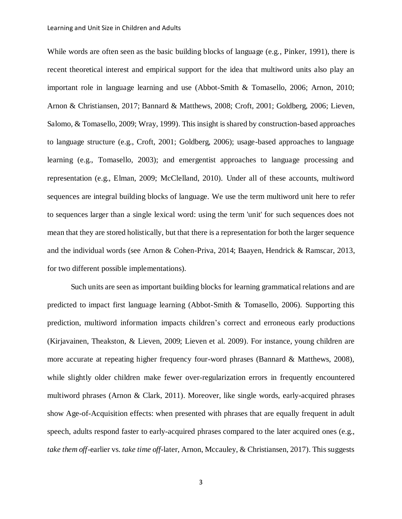While words are often seen as the basic building blocks of language (e.g., Pinker, 1991), there is recent theoretical interest and empirical support for the idea that multiword units also play an important role in language learning and use (Abbot-Smith & Tomasello, 2006; Arnon, 2010; Arnon & Christiansen, 2017; Bannard & Matthews, 2008; Croft, 2001; Goldberg, 2006; Lieven, Salomo, & Tomasello, 2009; Wray, 1999). This insight is shared by construction-based approaches to language structure (e.g., Croft, 2001; Goldberg, 2006); usage-based approaches to language learning (e.g., Tomasello, 2003); and emergentist approaches to language processing and representation (e.g., Elman, 2009; McClelland, 2010). Under all of these accounts, multiword sequences are integral building blocks of language. We use the term multiword unit here to refer to sequences larger than a single lexical word: using the term 'unit' for such sequences does not mean that they are stored holistically, but that there is a representation for both the larger sequence and the individual words (see Arnon & Cohen-Priva, 2014; Baayen, Hendrick & Ramscar, 2013, for two different possible implementations).

Such units are seen as important building blocks for learning grammatical relations and are predicted to impact first language learning (Abbot-Smith & Tomasello, 2006). Supporting this prediction, multiword information impacts children's correct and erroneous early productions (Kirjavainen, Theakston, & Lieven, 2009; Lieven et al. 2009). For instance, young children are more accurate at repeating higher frequency four-word phrases (Bannard & Matthews, 2008), while slightly older children make fewer over-regularization errors in frequently encountered multiword phrases (Arnon & Clark, 2011). Moreover, like single words, early-acquired phrases show Age-of-Acquisition effects: when presented with phrases that are equally frequent in adult speech, adults respond faster to early-acquired phrases compared to the later acquired ones (e.g., *take them off-*earlier vs. *take time off*-later, Arnon, Mccauley, & Christiansen, 2017). This suggests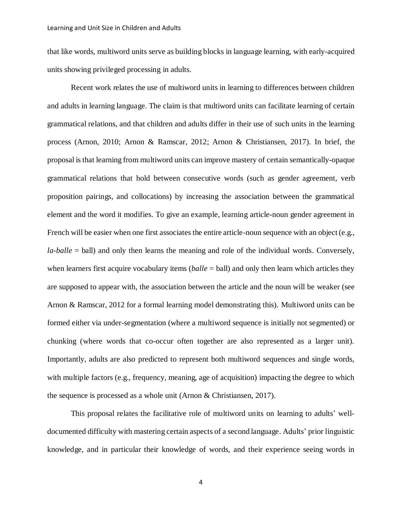that like words, multiword units serve as building blocks in language learning, with early-acquired units showing privileged processing in adults.

Recent work relates the use of multiword units in learning to differences between children and adults in learning language. The claim is that multiword units can facilitate learning of certain grammatical relations, and that children and adults differ in their use of such units in the learning process (Arnon, 2010; Arnon & Ramscar, 2012; Arnon & Christiansen, 2017). In brief, the proposal is that learning from multiword units can improve mastery of certain semantically-opaque grammatical relations that hold between consecutive words (such as gender agreement, verb proposition pairings, and collocations) by increasing the association between the grammatical element and the word it modifies. To give an example, learning article-noun gender agreement in French will be easier when one first associates the entire article-noun sequence with an object (e.g., *la-balle* = ball) and only then learns the meaning and role of the individual words. Conversely, when learners first acquire vocabulary items (*balle* = ball) and only then learn which articles they are supposed to appear with, the association between the article and the noun will be weaker (see Arnon & Ramscar, 2012 for a formal learning model demonstrating this). Multiword units can be formed either via under-segmentation (where a multiword sequence is initially not segmented) or chunking (where words that co-occur often together are also represented as a larger unit). Importantly, adults are also predicted to represent both multiword sequences and single words, with multiple factors (e.g., frequency, meaning, age of acquisition) impacting the degree to which the sequence is processed as a whole unit (Arnon & Christiansen, 2017).

This proposal relates the facilitative role of multiword units on learning to adults' welldocumented difficulty with mastering certain aspects of a second language. Adults' prior linguistic knowledge, and in particular their knowledge of words, and their experience seeing words in

4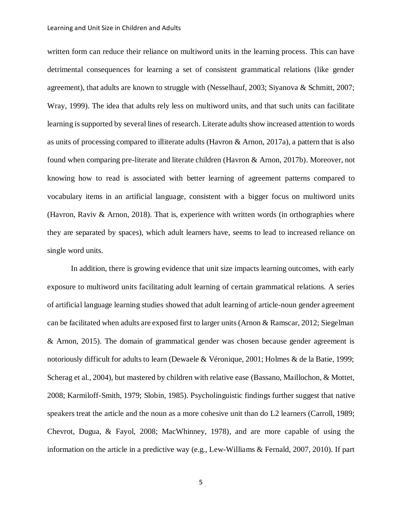#### Learning and Unit Size in Children and Adults

written form can reduce their reliance on multiword units in the learning process. This can have detrimental consequences for learning a set of consistent grammatical relations (like gender agreement), that adults are known to struggle with (Nesselhauf, 2003; Siyanova & Schmitt, 2007; Wray, 1999). The idea that adults rely less on multiword units, and that such units can facilitate learning is supported by several lines of research. Literate adults show increased attention to words as units of processing compared to illiterate adults (Havron & Arnon, 2017a), a pattern that is also found when comparing pre-literate and literate children (Havron & Arnon, 2017b). Moreover, not knowing how to read is associated with better learning of agreement patterns compared to vocabulary items in an artificial language, consistent with a bigger focus on multiword units (Havron, Raviv & Arnon, 2018). That is, experience with written words (in orthographies where they are separated by spaces), which adult learners have, seems to lead to increased reliance on single word units.

In addition, there is growing evidence that unit size impacts learning outcomes, with early exposure to multiword units facilitating adult learning of certain grammatical relations. A series of artificial language learning studies showed that adult learning of article-noun gender agreement can be facilitated when adults are exposed first to larger units (Arnon & Ramscar, 2012; Siegelman & Arnon, 2015). The domain of grammatical gender was chosen because gender agreement is notoriously difficult for adults to learn (Dewaele & Véronique, 2001; Holmes & de la Batie, 1999; Scherag et al., 2004), but mastered by children with relative ease (Bassano, Maillochon, & Mottet, 2008; Karmiloff-Smith, 1979; Slobin, 1985). Psycholinguistic findings further suggest that native speakers treat the article and the noun as a more cohesive unit than do L2 learners (Carroll, 1989; Chevrot, Dugua, & Fayol, 2008; MacWhinney, 1978), and are more capable of using the information on the article in a predictive way (e.g., Lew-Williams & Fernald, 2007, 2010). If part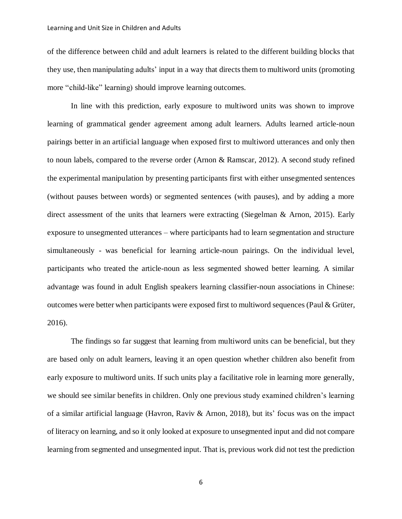of the difference between child and adult learners is related to the different building blocks that they use, then manipulating adults' input in a way that directs them to multiword units (promoting more "child-like" learning) should improve learning outcomes.

In line with this prediction, early exposure to multiword units was shown to improve learning of grammatical gender agreement among adult learners. Adults learned article-noun pairings better in an artificial language when exposed first to multiword utterances and only then to noun labels, compared to the reverse order (Arnon & Ramscar, 2012). A second study refined the experimental manipulation by presenting participants first with either unsegmented sentences (without pauses between words) or segmented sentences (with pauses), and by adding a more direct assessment of the units that learners were extracting (Siegelman & Arnon, 2015). Early exposure to unsegmented utterances – where participants had to learn segmentation and structure simultaneously - was beneficial for learning article-noun pairings. On the individual level, participants who treated the article-noun as less segmented showed better learning. A similar advantage was found in adult English speakers learning classifier-noun associations in Chinese: outcomes were better when participants were exposed first to multiword sequences (Paul & Grüter, 2016).

The findings so far suggest that learning from multiword units can be beneficial, but they are based only on adult learners, leaving it an open question whether children also benefit from early exposure to multiword units. If such units play a facilitative role in learning more generally, we should see similar benefits in children. Only one previous study examined children's learning of a similar artificial language (Havron, Raviv & Arnon, 2018), but its' focus was on the impact of literacy on learning, and so it only looked at exposure to unsegmented input and did not compare learning from segmented and unsegmented input. That is, previous work did not test the prediction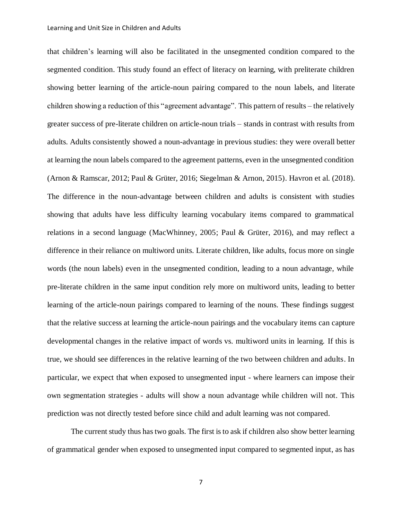that children's learning will also be facilitated in the unsegmented condition compared to the segmented condition. This study found an effect of literacy on learning, with preliterate children showing better learning of the article-noun pairing compared to the noun labels, and literate children showing a reduction of this "agreement advantage". This pattern of results – the relatively greater success of pre-literate children on article-noun trials – stands in contrast with results from adults. Adults consistently showed a noun-advantage in previous studies: they were overall better at learning the noun labels compared to the agreement patterns, even in the unsegmented condition (Arnon & Ramscar, 2012; Paul & Grüter, 2016; Siegelman & Arnon, 2015). Havron et al. (2018). The difference in the noun-advantage between children and adults is consistent with studies showing that adults have less difficulty learning vocabulary items compared to grammatical relations in a second language (MacWhinney, 2005; Paul & Grüter, 2016), and may reflect a difference in their reliance on multiword units. Literate children, like adults, focus more on single words (the noun labels) even in the unsegmented condition, leading to a noun advantage, while pre-literate children in the same input condition rely more on multiword units, leading to better learning of the article-noun pairings compared to learning of the nouns. These findings suggest that the relative success at learning the article-noun pairings and the vocabulary items can capture developmental changes in the relative impact of words vs. multiword units in learning. If this is true, we should see differences in the relative learning of the two between children and adults. In particular, we expect that when exposed to unsegmented input - where learners can impose their own segmentation strategies - adults will show a noun advantage while children will not. This prediction was not directly tested before since child and adult learning was not compared.

The current study thus has two goals. The first is to ask if children also show better learning of grammatical gender when exposed to unsegmented input compared to segmented input, as has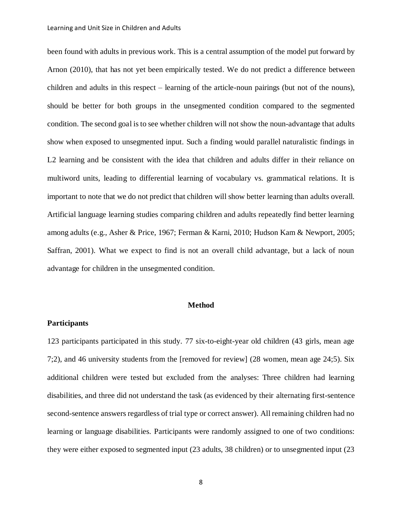been found with adults in previous work. This is a central assumption of the model put forward by Arnon (2010), that has not yet been empirically tested. We do not predict a difference between children and adults in this respect – learning of the article-noun pairings (but not of the nouns), should be better for both groups in the unsegmented condition compared to the segmented condition. The second goal is to see whether children will not show the noun-advantage that adults show when exposed to unsegmented input. Such a finding would parallel naturalistic findings in L2 learning and be consistent with the idea that children and adults differ in their reliance on multiword units, leading to differential learning of vocabulary vs. grammatical relations. It is important to note that we do not predict that children will show better learning than adults overall. Artificial language learning studies comparing children and adults repeatedly find better learning among adults (e.g., Asher & Price, 1967; Ferman & Karni, 2010; Hudson Kam & Newport, 2005; Saffran, 2001). What we expect to find is not an overall child advantage, but a lack of noun advantage for children in the unsegmented condition.

## **Method**

## **Participants**

123 participants participated in this study. 77 six-to-eight-year old children (43 girls, mean age 7;2), and 46 university students from the [removed for review] (28 women, mean age 24;5). Six additional children were tested but excluded from the analyses: Three children had learning disabilities, and three did not understand the task (as evidenced by their alternating first-sentence second-sentence answers regardless of trial type or correct answer). All remaining children had no learning or language disabilities. Participants were randomly assigned to one of two conditions: they were either exposed to segmented input (23 adults, 38 children) or to unsegmented input (23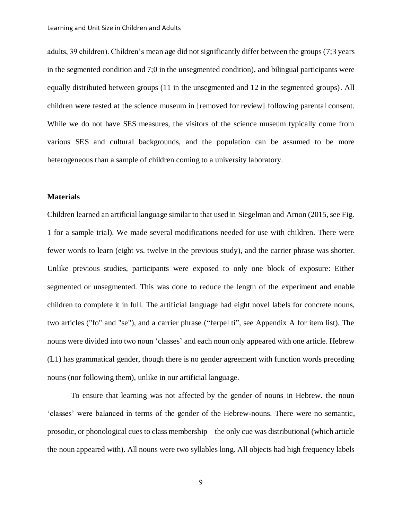adults, 39 children). Children's mean age did not significantly differ between the groups (7;3 years in the segmented condition and 7;0 in the unsegmented condition), and bilingual participants were equally distributed between groups (11 in the unsegmented and 12 in the segmented groups). All children were tested at the science museum in [removed for review] following parental consent. While we do not have SES measures, the visitors of the science museum typically come from various SES and cultural backgrounds, and the population can be assumed to be more heterogeneous than a sample of children coming to a university laboratory.

## **Materials**

Children learned an artificial language similar to that used in Siegelman and Arnon (2015, see Fig. 1 for a sample trial). We made several modifications needed for use with children. There were fewer words to learn (eight vs. twelve in the previous study), and the carrier phrase was shorter. Unlike previous studies, participants were exposed to only one block of exposure: Either segmented or unsegmented. This was done to reduce the length of the experiment and enable children to complete it in full. The artificial language had eight novel labels for concrete nouns, two articles ("fo" and "se"), and a carrier phrase ("ferpel ti", see Appendix A for item list). The nouns were divided into two noun 'classes' and each noun only appeared with one article. Hebrew (L1) has grammatical gender, though there is no gender agreement with function words preceding nouns (nor following them), unlike in our artificial language.

To ensure that learning was not affected by the gender of nouns in Hebrew, the noun 'classes' were balanced in terms of the gender of the Hebrew-nouns. There were no semantic, prosodic, or phonological cues to class membership – the only cue was distributional (which article the noun appeared with). All nouns were two syllables long. All objects had high frequency labels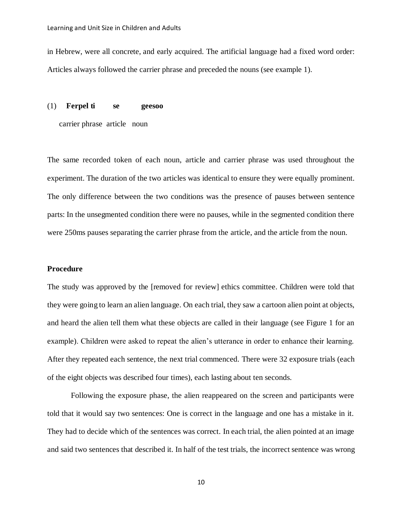in Hebrew, were all concrete, and early acquired. The artificial language had a fixed word order: Articles always followed the carrier phrase and preceded the nouns (see example 1).

#### (1) **Ferpel ti se geesoo**

carrier phrase article noun

The same recorded token of each noun, article and carrier phrase was used throughout the experiment. The duration of the two articles was identical to ensure they were equally prominent. The only difference between the two conditions was the presence of pauses between sentence parts: In the unsegmented condition there were no pauses, while in the segmented condition there were 250ms pauses separating the carrier phrase from the article, and the article from the noun.

#### **Procedure**

The study was approved by the [removed for review] ethics committee. Children were told that they were going to learn an alien language. On each trial, they saw a cartoon alien point at objects, and heard the alien tell them what these objects are called in their language (see Figure 1 for an example). Children were asked to repeat the alien's utterance in order to enhance their learning. After they repeated each sentence, the next trial commenced. There were 32 exposure trials (each of the eight objects was described four times), each lasting about ten seconds.

Following the exposure phase, the alien reappeared on the screen and participants were told that it would say two sentences: One is correct in the language and one has a mistake in it. They had to decide which of the sentences was correct. In each trial, the alien pointed at an image and said two sentences that described it. In half of the test trials, the incorrect sentence was wrong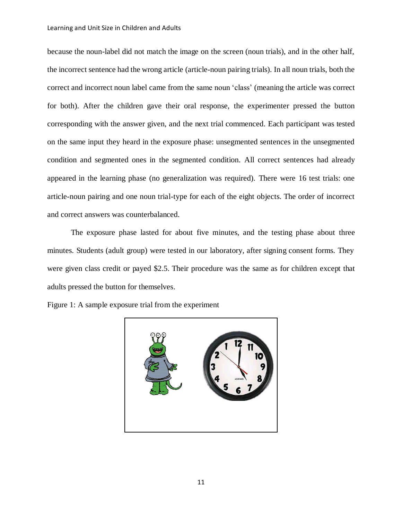#### Learning and Unit Size in Children and Adults

because the noun-label did not match the image on the screen (noun trials), and in the other half, the incorrect sentence had the wrong article (article-noun pairing trials). In all noun trials, both the correct and incorrect noun label came from the same noun 'class' (meaning the article was correct for both). After the children gave their oral response, the experimenter pressed the button corresponding with the answer given, and the next trial commenced. Each participant was tested on the same input they heard in the exposure phase: unsegmented sentences in the unsegmented condition and segmented ones in the segmented condition. All correct sentences had already appeared in the learning phase (no generalization was required). There were 16 test trials: one article-noun pairing and one noun trial-type for each of the eight objects. The order of incorrect and correct answers was counterbalanced.

The exposure phase lasted for about five minutes, and the testing phase about three minutes. Students (adult group) were tested in our laboratory, after signing consent forms. They were given class credit or payed \$2.5. Their procedure was the same as for children except that adults pressed the button for themselves.

Figure 1: A sample exposure trial from the experiment

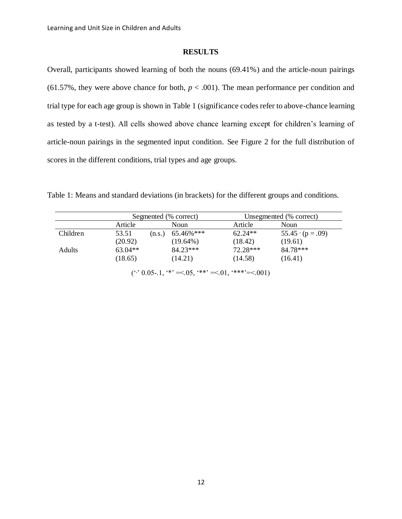## **RESULTS**

Overall, participants showed learning of both the nouns (69.41%) and the article-noun pairings (61.57%, they were above chance for both,  $p < .001$ ). The mean performance per condition and trial type for each age group is shown in Table 1 (significance codes refer to above-chance learning as tested by a t-test). All cells showed above chance learning except for children's learning of article-noun pairings in the segmented input condition. See Figure 2 for the full distribution of scores in the different conditions, trial types and age groups.

Table 1: Means and standard deviations (in brackets) for the different groups and conditions.

|                                                 |                 | Segmented (% correct) |            | Unsegmented (% correct) |  |  |
|-------------------------------------------------|-----------------|-----------------------|------------|-------------------------|--|--|
|                                                 | Article         | Noun                  | Article    | Noun                    |  |  |
| Children                                        | 53.51<br>(n.s.) | 65.46%***             | $62.24**$  | $55.45 \cdot (p=.09)$   |  |  |
|                                                 | (20.92)         | $(19.64\%)$           | (18.42)    | (19.61)                 |  |  |
| Adults                                          | $63.04**$       | $84.23***$            | $72.28***$ | 84.78***                |  |  |
|                                                 | (18.65)         | (14.21)               | (14.58)    | (16.41)                 |  |  |
| $(*' 0.05-1, ** \le 05, ** \le 01, ** \le 001)$ |                 |                       |            |                         |  |  |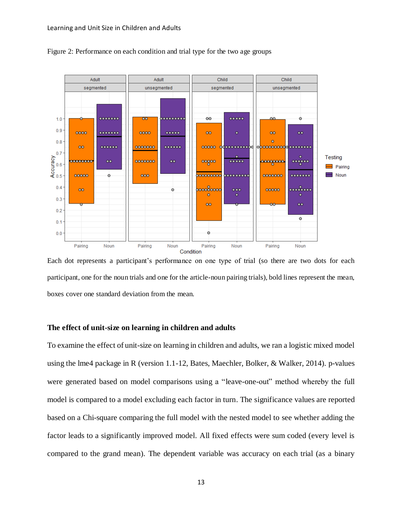

Figure 2: Performance on each condition and trial type for the two age groups

Each dot represents a participant's performance on one type of trial (so there are two dots for each participant, one for the noun trials and one for the article-noun pairing trials), bold lines represent the mean, boxes cover one standard deviation from the mean.

## **The effect of unit-size on learning in children and adults**

To examine the effect of unit-size on learning in children and adults, we ran a logistic mixed model using the lme4 package in R (version 1.1-12, Bates, Maechler, Bolker, & Walker, 2014). p-values were generated based on model comparisons using a "leave-one-out" method whereby the full model is compared to a model excluding each factor in turn. The significance values are reported based on a Chi-square comparing the full model with the nested model to see whether adding the factor leads to a significantly improved model. All fixed effects were sum coded (every level is compared to the grand mean). The dependent variable was accuracy on each trial (as a binary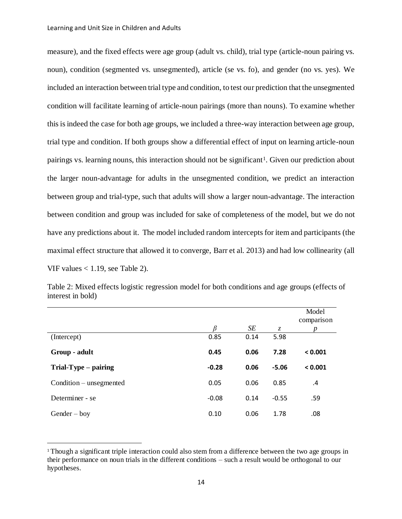$\overline{a}$ 

measure), and the fixed effects were age group (adult vs. child), trial type (article-noun pairing vs. noun), condition (segmented vs. unsegmented), article (se vs. fo), and gender (no vs. yes). We included an interaction between trial type and condition, to test our prediction that the unsegmented condition will facilitate learning of article-noun pairings (more than nouns). To examine whether this is indeed the case for both age groups, we included a three-way interaction between age group, trial type and condition. If both groups show a differential effect of input on learning article-noun pairings vs. learning nouns, this interaction should not be significant<sup>1</sup>. Given our prediction about the larger noun-advantage for adults in the unsegmented condition, we predict an interaction between group and trial-type, such that adults will show a larger noun-advantage. The interaction between condition and group was included for sake of completeness of the model, but we do not have any predictions about it. The model included random intercepts for item and participants (the maximal effect structure that allowed it to converge, Barr et al. 2013) and had low collinearity (all VIF values  $< 1.19$ , see Table 2).

Table 2: Mixed effects logistic regression model for both conditions and age groups (effects of interest in bold)

|                           |         |      |               | Model<br>comparison |
|---------------------------|---------|------|---------------|---------------------|
|                           | ß       | SE   | $\mathcal{Z}$ | p                   |
| (Intercept)               | 0.85    | 0.14 | 5.98          |                     |
| Group - adult             | 0.45    | 0.06 | 7.28          | < 0.001             |
| $Trial-Type - pairing$    | $-0.28$ | 0.06 | $-5.06$       | < 0.001             |
| $Condition$ – unsegmented | 0.05    | 0.06 | 0.85          | .4                  |
| Determiner - se           | $-0.08$ | 0.14 | $-0.55$       | .59                 |
| $Gender - boy$            | 0.10    | 0.06 | 1.78          | .08                 |

<sup>1</sup> Though a significant triple interaction could also stem from a difference between the two age groups in their performance on noun trials in the different conditions – such a result would be orthogonal to our hypotheses.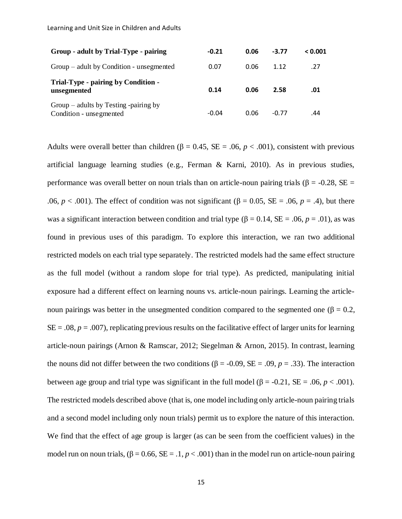#### Learning and Unit Size in Children and Adults

| Group - adult by Trial-Type - pairing                              | $-0.21$ | 0.06 | $-3.77$ | < 0.001 |
|--------------------------------------------------------------------|---------|------|---------|---------|
| $Group - adult by Condition - unsegmented$                         | 0.07    | 0.06 | 1.12    | .27     |
| Trial-Type - pairing by Condition -<br>unsegmented                 | 0.14    | 0.06 | 2.58    | .01     |
| $Group - adults by Testing -pairing by$<br>Condition - unsegmented | $-0.04$ | 0.06 | $-0.77$ | .44     |

Adults were overall better than children ( $\beta = 0.45$ ,  $SE = .06$ ,  $p < .001$ ), consistent with previous artificial language learning studies (e.g., Ferman & Karni, 2010). As in previous studies, performance was overall better on noun trials than on article-noun pairing trials (β = -0.28, SE = .06,  $p < .001$ ). The effect of condition was not significant ( $\beta = 0.05$ ,  $SE = .06$ ,  $p = .4$ ), but there was a significant interaction between condition and trial type  $(\beta = 0.14, SE = .06, p = .01)$ , as was found in previous uses of this paradigm. To explore this interaction, we ran two additional restricted models on each trial type separately. The restricted models had the same effect structure as the full model (without a random slope for trial type). As predicted, manipulating initial exposure had a different effect on learning nouns vs. article-noun pairings. Learning the articlenoun pairings was better in the unsegmented condition compared to the segmented one (β = 0.2,  $SE = .08$ ,  $p = .007$ ), replicating previous results on the facilitative effect of larger units for learning article-noun pairings (Arnon & Ramscar, 2012; Siegelman & Arnon, 2015). In contrast, learning the nouns did not differ between the two conditions (β = -0.09, SE = .09, *p* = .33). The interaction between age group and trial type was significant in the full model ( $\beta$  = -0.21, SE = .06, *p* < .001). The restricted models described above (that is, one model including only article-noun pairing trials and a second model including only noun trials) permit us to explore the nature of this interaction. We find that the effect of age group is larger (as can be seen from the coefficient values) in the model run on noun trials,  $(β = 0.66, SE = .1, p < .001)$  than in the model run on article-noun pairing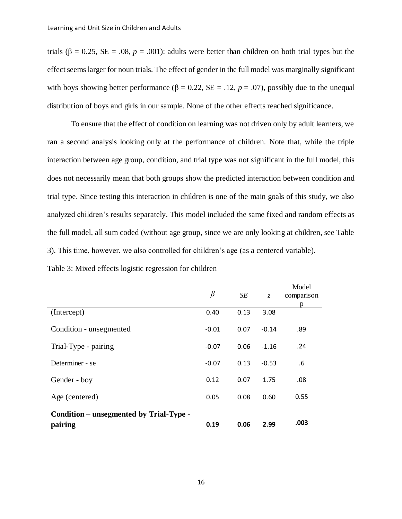trials ( $\beta = 0.25$ ,  $SE = .08$ ,  $p = .001$ ): adults were better than children on both trial types but the effect seems larger for noun trials. The effect of gender in the full model was marginally significant with boys showing better performance ( $\beta = 0.22$ ,  $SE = .12$ ,  $p = .07$ ), possibly due to the unequal distribution of boys and girls in our sample. None of the other effects reached significance.

To ensure that the effect of condition on learning was not driven only by adult learners, we ran a second analysis looking only at the performance of children. Note that, while the triple interaction between age group, condition, and trial type was not significant in the full model, this does not necessarily mean that both groups show the predicted interaction between condition and trial type. Since testing this interaction in children is one of the main goals of this study, we also analyzed children's results separately. This model included the same fixed and random effects as the full model, all sum coded (without age group, since we are only looking at children, see Table 3). This time, however, we also controlled for children's age (as a centered variable).

| Table 3: Mixed effects logistic regression for children |  |  |  |
|---------------------------------------------------------|--|--|--|
|                                                         |  |  |  |

|                                         | $\beta$ | SE   | $\mathcal{Z}$ | Model<br>comparison |
|-----------------------------------------|---------|------|---------------|---------------------|
|                                         |         |      |               | D                   |
| (Intercept)                             | 0.40    | 0.13 | 3.08          |                     |
| Condition - unsegmented                 | $-0.01$ | 0.07 | $-0.14$       | .89                 |
| Trial-Type - pairing                    | $-0.07$ | 0.06 | $-1.16$       | .24                 |
| Determiner - se                         | $-0.07$ | 0.13 | $-0.53$       | .6                  |
| Gender - boy                            | 0.12    | 0.07 | 1.75          | .08                 |
| Age (centered)                          | 0.05    | 0.08 | 0.60          | 0.55                |
| Condition – unsegmented by Trial-Type - |         |      |               |                     |
| pairing                                 | 0.19    | 0.06 | 2.99          | .003                |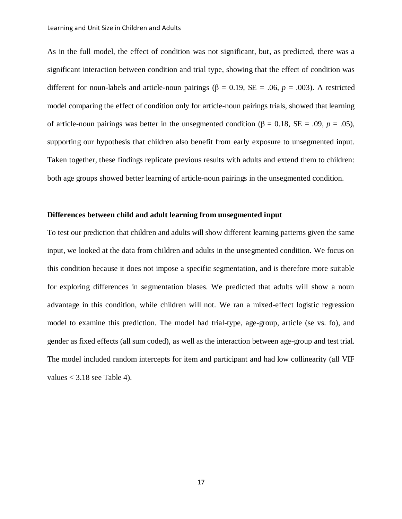As in the full model, the effect of condition was not significant, but, as predicted, there was a significant interaction between condition and trial type, showing that the effect of condition was different for noun-labels and article-noun pairings (β = 0.19, SE = .06,  $p = .003$ ). A restricted model comparing the effect of condition only for article-noun pairings trials, showed that learning of article-noun pairings was better in the unsegmented condition ( $\beta = 0.18$ ,  $SE = .09$ ,  $p = .05$ ), supporting our hypothesis that children also benefit from early exposure to unsegmented input. Taken together, these findings replicate previous results with adults and extend them to children: both age groups showed better learning of article-noun pairings in the unsegmented condition.

# **Differences between child and adult learning from unsegmented input**

To test our prediction that children and adults will show different learning patterns given the same input, we looked at the data from children and adults in the unsegmented condition. We focus on this condition because it does not impose a specific segmentation, and is therefore more suitable for exploring differences in segmentation biases. We predicted that adults will show a noun advantage in this condition, while children will not. We ran a mixed-effect logistic regression model to examine this prediction. The model had trial-type, age-group, article (se vs. fo), and gender as fixed effects (all sum coded), as well as the interaction between age-group and test trial. The model included random intercepts for item and participant and had low collinearity (all VIF values  $<$  3.18 see Table 4).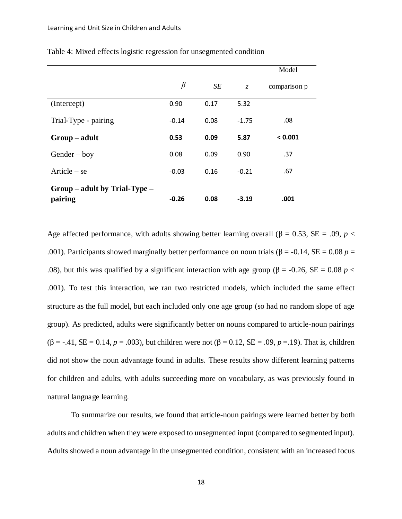|                                 |         |      |               | Model        |
|---------------------------------|---------|------|---------------|--------------|
|                                 | $\beta$ | SE   | $\mathcal{Z}$ | comparison p |
| (Intercept)                     | 0.90    | 0.17 | 5.32          |              |
| Trial-Type - pairing            | $-0.14$ | 0.08 | $-1.75$       | .08          |
| $Group - adult$                 | 0.53    | 0.09 | 5.87          | < 0.001      |
| $Gender - boy$                  | 0.08    | 0.09 | 0.90          | .37          |
| Article $-$ se                  | $-0.03$ | 0.16 | $-0.21$       | .67          |
| $Group - adult by Trial-Type -$ |         |      |               |              |
| pairing                         | $-0.26$ | 0.08 | $-3.19$       | .001         |

Table 4: Mixed effects logistic regression for unsegmented condition

Age affected performance, with adults showing better learning overall ( $\beta = 0.53$ , SE = .09, *p* < .001). Participants showed marginally better performance on noun trials ( $\beta$  = -0.14, SE = 0.08 *p* = .08), but this was qualified by a significant interaction with age group ( $\beta$  = -0.26, SE = 0.08 *p* < .001). To test this interaction, we ran two restricted models, which included the same effect structure as the full model, but each included only one age group (so had no random slope of age group). As predicted, adults were significantly better on nouns compared to article-noun pairings (β = -.41, SE = 0.14, *p* = .003), but children were not (β = 0.12, SE = .09, *p* =.19). That is, children did not show the noun advantage found in adults. These results show different learning patterns for children and adults, with adults succeeding more on vocabulary, as was previously found in natural language learning.

To summarize our results, we found that article-noun pairings were learned better by both adults and children when they were exposed to unsegmented input (compared to segmented input). Adults showed a noun advantage in the unsegmented condition, consistent with an increased focus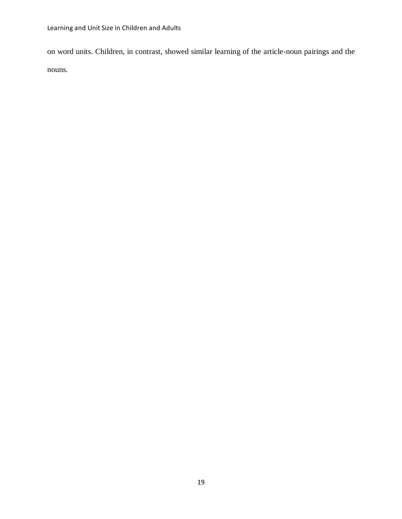on word units. Children, in contrast, showed similar learning of the article-noun pairings and the nouns.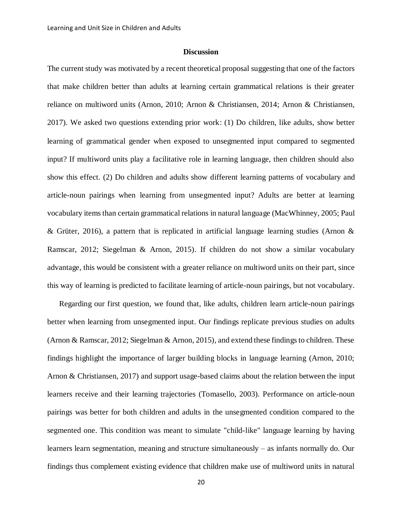# **Discussion**

The current study was motivated by a recent theoretical proposal suggesting that one of the factors that make children better than adults at learning certain grammatical relations is their greater reliance on multiword units (Arnon, 2010; Arnon & Christiansen, 2014; Arnon & Christiansen, 2017). We asked two questions extending prior work: (1) Do children, like adults, show better learning of grammatical gender when exposed to unsegmented input compared to segmented input? If multiword units play a facilitative role in learning language, then children should also show this effect. (2) Do children and adults show different learning patterns of vocabulary and article-noun pairings when learning from unsegmented input? Adults are better at learning vocabulary items than certain grammatical relations in natural language (MacWhinney, 2005; Paul & Grüter, 2016), a pattern that is replicated in artificial language learning studies (Arnon  $\&$ Ramscar, 2012; Siegelman & Arnon, 2015). If children do not show a similar vocabulary advantage, this would be consistent with a greater reliance on multiword units on their part, since this way of learning is predicted to facilitate learning of article-noun pairings, but not vocabulary.

Regarding our first question, we found that, like adults, children learn article-noun pairings better when learning from unsegmented input. Our findings replicate previous studies on adults (Arnon & Ramscar, 2012; Siegelman & Arnon, 2015), and extend these findings to children. These findings highlight the importance of larger building blocks in language learning (Arnon, 2010; Arnon & Christiansen, 2017) and support usage-based claims about the relation between the input learners receive and their learning trajectories (Tomasello, 2003). Performance on article-noun pairings was better for both children and adults in the unsegmented condition compared to the segmented one. This condition was meant to simulate "child-like" language learning by having learners learn segmentation, meaning and structure simultaneously – as infants normally do. Our findings thus complement existing evidence that children make use of multiword units in natural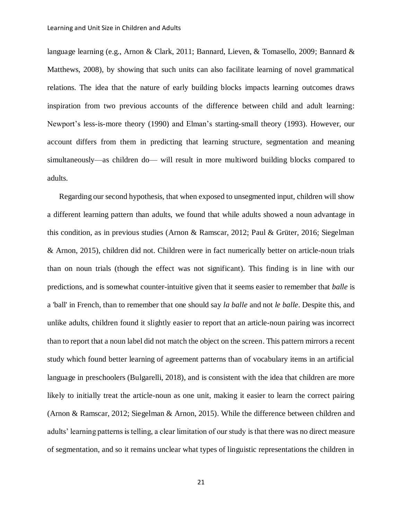language learning (e.g., Arnon & Clark, 2011; Bannard, Lieven, & Tomasello, 2009; Bannard & Matthews, 2008), by showing that such units can also facilitate learning of novel grammatical relations. The idea that the nature of early building blocks impacts learning outcomes draws inspiration from two previous accounts of the difference between child and adult learning: Newport's less-is-more theory (1990) and Elman's starting-small theory (1993). However, our account differs from them in predicting that learning structure, segmentation and meaning simultaneously—as children do— will result in more multiword building blocks compared to adults.

Regarding our second hypothesis, that when exposed to unsegmented input, children will show a different learning pattern than adults, we found that while adults showed a noun advantage in this condition, as in previous studies (Arnon & Ramscar, 2012; Paul & Grüter, 2016; Siegelman & Arnon, 2015), children did not. Children were in fact numerically better on article-noun trials than on noun trials (though the effect was not significant). This finding is in line with our predictions, and is somewhat counter-intuitive given that it seems easier to remember that *balle* is a 'ball' in French, than to remember that one should say *la balle* and not *le balle*. Despite this, and unlike adults, children found it slightly easier to report that an article-noun pairing was incorrect than to report that a noun label did not match the object on the screen. This pattern mirrors a recent study which found better learning of agreement patterns than of vocabulary items in an artificial language in preschoolers (Bulgarelli, 2018), and is consistent with the idea that children are more likely to initially treat the article-noun as one unit, making it easier to learn the correct pairing (Arnon & Ramscar, 2012; Siegelman & Arnon, 2015). While the difference between children and adults' learning patterns is telling, a clear limitation of our study is that there was no direct measure of segmentation, and so it remains unclear what types of linguistic representations the children in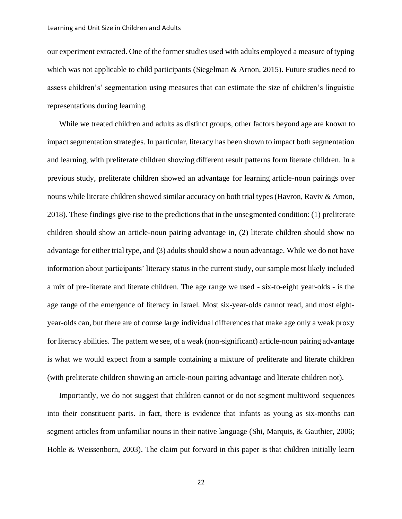our experiment extracted. One of the former studies used with adults employed a measure of typing which was not applicable to child participants (Siegelman & Arnon, 2015). Future studies need to assess children's' segmentation using measures that can estimate the size of children's linguistic representations during learning.

While we treated children and adults as distinct groups, other factors beyond age are known to impact segmentation strategies. In particular, literacy has been shown to impact both segmentation and learning, with preliterate children showing different result patterns form literate children. In a previous study, preliterate children showed an advantage for learning article-noun pairings over nouns while literate children showed similar accuracy on both trial types (Havron, Raviv & Arnon, 2018). These findings give rise to the predictions that in the unsegmented condition: (1) preliterate children should show an article-noun pairing advantage in, (2) literate children should show no advantage for either trial type, and (3) adults should show a noun advantage. While we do not have information about participants' literacy status in the current study, our sample most likely included a mix of pre-literate and literate children. The age range we used - six-to-eight year-olds - is the age range of the emergence of literacy in Israel. Most six-year-olds cannot read, and most eightyear-olds can, but there are of course large individual differences that make age only a weak proxy for literacy abilities. The pattern we see, of a weak (non-significant) article-noun pairing advantage is what we would expect from a sample containing a mixture of preliterate and literate children (with preliterate children showing an article-noun pairing advantage and literate children not).

Importantly, we do not suggest that children cannot or do not segment multiword sequences into their constituent parts. In fact, there is evidence that infants as young as six-months can segment articles from unfamiliar nouns in their native language (Shi, Marquis, & Gauthier, 2006; Hohle & Weissenborn, 2003). The claim put forward in this paper is that children initially learn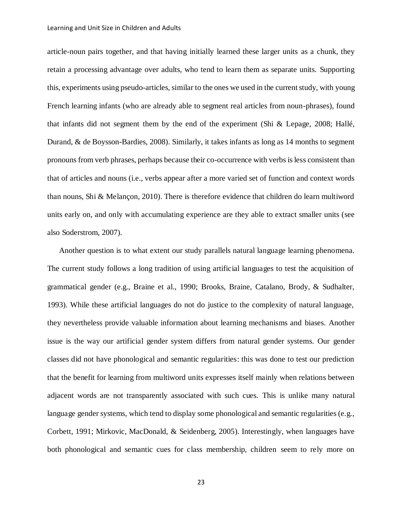#### Learning and Unit Size in Children and Adults

article-noun pairs together, and that having initially learned these larger units as a chunk, they retain a processing advantage over adults, who tend to learn them as separate units. Supporting this, experiments using pseudo-articles, similar to the ones we used in the current study, with young French learning infants (who are already able to segment real articles from noun-phrases), found that infants did not segment them by the end of the experiment (Shi & Lepage, 2008; Hallé, Durand, & de Boysson-Bardies, 2008). Similarly, it takes infants as long as 14 months to segment pronouns from verb phrases, perhaps because their co-occurrence with verbs is less consistent than that of articles and nouns (i.e., verbs appear after a more varied set of function and context words than nouns, Shi & Melançon, 2010). There is therefore evidence that children do learn multiword units early on, and only with accumulating experience are they able to extract smaller units (see also Soderstrom, 2007).

Another question is to what extent our study parallels natural language learning phenomena. The current study follows a long tradition of using artificial languages to test the acquisition of grammatical gender (e.g., Braine et al., 1990; Brooks, Braine, Catalano, Brody, & Sudhalter, 1993). While these artificial languages do not do justice to the complexity of natural language, they nevertheless provide valuable information about learning mechanisms and biases. Another issue is the way our artificial gender system differs from natural gender systems. Our gender classes did not have phonological and semantic regularities: this was done to test our prediction that the benefit for learning from multiword units expresses itself mainly when relations between adjacent words are not transparently associated with such cues. This is unlike many natural language gender systems, which tend to display some phonological and semantic regularities (e.g., Corbett, 1991; Mirkovic, MacDonald, & Seidenberg, 2005). Interestingly, when languages have both phonological and semantic cues for class membership, children seem to rely more on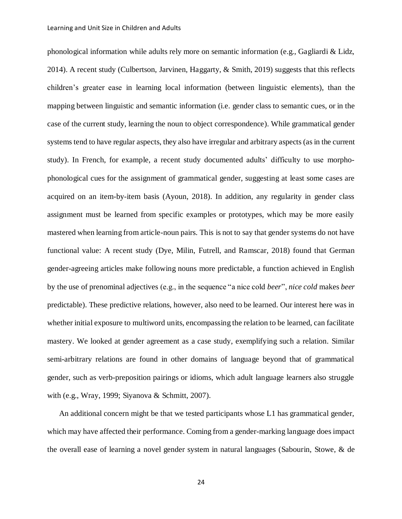phonological information while adults rely more on semantic information (e.g., Gagliardi & Lidz, 2014). A recent study (Culbertson, Jarvinen, Haggarty, & Smith, 2019) suggests that this reflects children's greater ease in learning local information (between linguistic elements), than the mapping between linguistic and semantic information (i.e. gender class to semantic cues, or in the case of the current study, learning the noun to object correspondence). While grammatical gender systems tend to have regular aspects, they also have irregular and arbitrary aspects (as in the current study). In French, for example, a recent study documented adults' difficulty to use morphophonological cues for the assignment of grammatical gender, suggesting at least some cases are acquired on an item-by-item basis (Ayoun, 2018). In addition, any regularity in gender class assignment must be learned from specific examples or prototypes, which may be more easily mastered when learning from article-noun pairs. This is not to say that gender systems do not have functional value: A recent study (Dye, Milin, Futrell, and Ramscar, 2018) found that German gender-agreeing articles make following nouns more predictable, a function achieved in English by the use of prenominal adjectives (e.g., in the sequence "a nice cold *beer*", *nice cold* makes *beer* predictable). These predictive relations, however, also need to be learned. Our interest here was in whether initial exposure to multiword units, encompassing the relation to be learned, can facilitate mastery. We looked at gender agreement as a case study, exemplifying such a relation. Similar semi-arbitrary relations are found in other domains of language beyond that of grammatical gender, such as verb-preposition pairings or idioms, which adult language learners also struggle with (e.g., Wray, 1999; Siyanova & Schmitt, 2007).

An additional concern might be that we tested participants whose L1 has grammatical gender, which may have affected their performance. Coming from a gender-marking language does impact the overall ease of learning a novel gender system in natural languages (Sabourin, Stowe, & de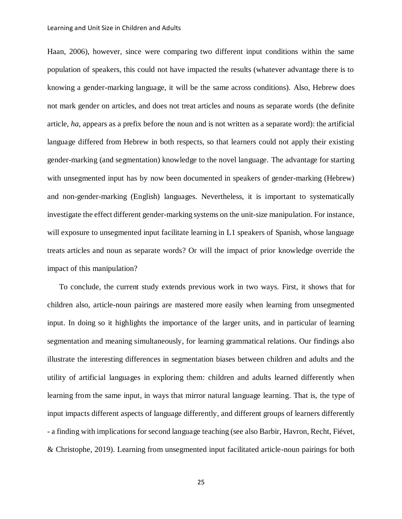#### Learning and Unit Size in Children and Adults

Haan, 2006), however, since were comparing two different input conditions within the same population of speakers, this could not have impacted the results (whatever advantage there is to knowing a gender-marking language, it will be the same across conditions). Also, Hebrew does not mark gender on articles, and does not treat articles and nouns as separate words (the definite article, *ha*, appears as a prefix before the noun and is not written as a separate word): the artificial language differed from Hebrew in both respects, so that learners could not apply their existing gender-marking (and segmentation) knowledge to the novel language. The advantage for starting with unsegmented input has by now been documented in speakers of gender-marking (Hebrew) and non-gender-marking (English) languages. Nevertheless, it is important to systematically investigate the effect different gender-marking systems on the unit-size manipulation. For instance, will exposure to unsegmented input facilitate learning in L1 speakers of Spanish, whose language treats articles and noun as separate words? Or will the impact of prior knowledge override the impact of this manipulation?

To conclude, the current study extends previous work in two ways. First, it shows that for children also, article-noun pairings are mastered more easily when learning from unsegmented input. In doing so it highlights the importance of the larger units, and in particular of learning segmentation and meaning simultaneously, for learning grammatical relations. Our findings also illustrate the interesting differences in segmentation biases between children and adults and the utility of artificial languages in exploring them: children and adults learned differently when learning from the same input, in ways that mirror natural language learning. That is, the type of input impacts different aspects of language differently, and different groups of learners differently - a finding with implications for second language teaching (see also Barbir, Havron, Recht, Fiévet, & Christophe, 2019). Learning from unsegmented input facilitated article-noun pairings for both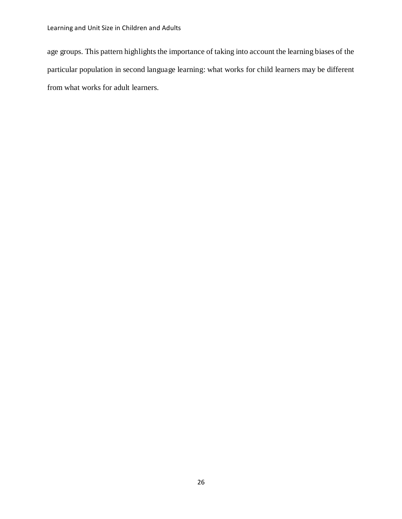age groups. This pattern highlights the importance of taking into account the learning biases of the particular population in second language learning: what works for child learners may be different from what works for adult learners.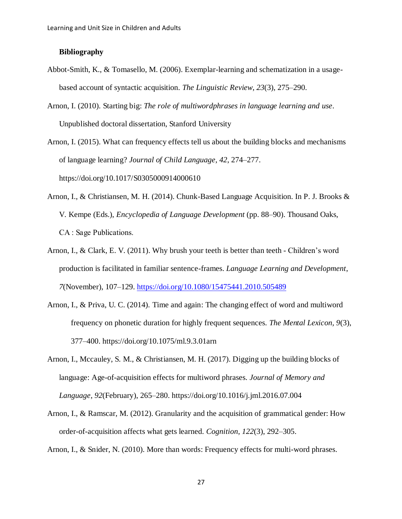# **Bibliography**

- Abbot-Smith, K., & Tomasello, M. (2006). Exemplar-learning and schematization in a usagebased account of syntactic acquisition. *The Linguistic Review*, *23*(3), 275–290.
- Arnon, I. (2010). Starting big: *The role of multiwordphrases in language learning and use*. Unpublished doctoral dissertation, Stanford University

Arnon, I. (2015). What can frequency effects tell us about the building blocks and mechanisms of language learning? *Journal of Child Language*, *42*, 274–277. https://doi.org/10.1017/S0305000914000610

- Arnon, I., & Christiansen, M. H. (2014). Chunk-Based Language Acquisition. In P. J. Brooks & V. Kempe (Eds.), *Encyclopedia of Language Development* (pp. 88–90). Thousand Oaks, CA : Sage Publications.
- Arnon, I., & Clark, E. V. (2011). Why brush your teeth is better than teeth Children's word production is facilitated in familiar sentence-frames. *Language Learning and Development*, *7*(November), 107–129.<https://doi.org/10.1080/15475441.2010.505489>
- Arnon, I., & Priva, U. C. (2014). Time and again: The changing effect of word and multiword frequency on phonetic duration for highly frequent sequences. *The Mental Lexicon, 9*(3), 377–400. https://doi.org/10.1075/ml.9.3.01arn
- Arnon, I., Mccauley, S. M., & Christiansen, M. H. (2017). Digging up the building blocks of language: Age-of-acquisition effects for multiword phrases. *Journal of Memory and Language*, *92*(February), 265–280. https://doi.org/10.1016/j.jml.2016.07.004
- Arnon, I., & Ramscar, M. (2012). Granularity and the acquisition of grammatical gender: How order-of-acquisition affects what gets learned. *Cognition*, *122*(3), 292–305.
- Arnon, I., & Snider, N. (2010). More than words: Frequency effects for multi-word phrases.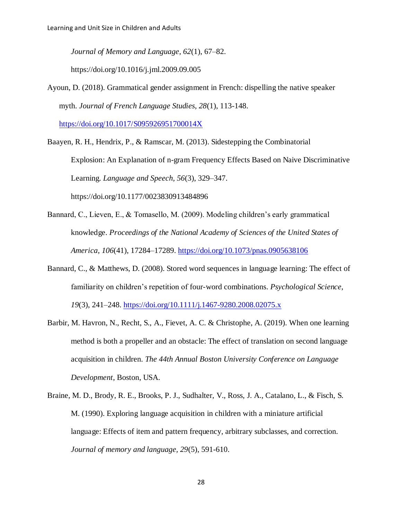*Journal of Memory and Language, 62*(1), 67–82.

https://doi.org/10.1016/j.jml.2009.09.005

Ayoun, D. (2018). Grammatical gender assignment in French: dispelling the native speaker myth. *Journal of French Language Studies, 28*(1), 113-148.

<https://doi.org/10.1017/S095926951700014X>

Baayen, R. H., Hendrix, P., & Ramscar, M. (2013). Sidestepping the Combinatorial Explosion: An Explanation of n-gram Frequency Effects Based on Naive Discriminative Learning. *Language and Speech, 56*(3), 329–347. https://doi.org/10.1177/0023830913484896

- Bannard, C., Lieven, E., & Tomasello, M. (2009). Modeling children's early grammatical knowledge. *Proceedings of the National Academy of Sciences of the United States of America*, *106*(41), 17284–17289[. https://doi.org/10.1073/pnas.0905638106](https://doi.org/10.1073/pnas.0905638106)
- Bannard, C., & Matthews, D. (2008). Stored word sequences in language learning: The effect of familiarity on children's repetition of four-word combinations. *Psychological Science, 19*(3), 241–248.<https://doi.org/10.1111/j.1467-9280.2008.02075.x>
- Barbir, M. Havron, N., Recht, S., A., Fievet, A. C. & Christophe, A. (2019). When one learning method is both a propeller and an obstacle: The effect of translation on second language acquisition in children. *The 44th Annual Boston University Conference on Language Development*, Boston, USA.
- Braine, M. D., Brody, R. E., Brooks, P. J., Sudhalter, V., Ross, J. A., Catalano, L., & Fisch, S. M. (1990). Exploring language acquisition in children with a miniature artificial language: Effects of item and pattern frequency, arbitrary subclasses, and correction. *Journal of memory and language, 29*(5), 591-610.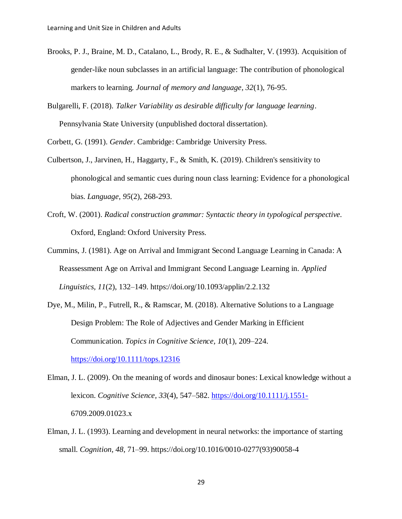- Brooks, P. J., Braine, M. D., Catalano, L., Brody, R. E., & Sudhalter, V. (1993). Acquisition of gender-like noun subclasses in an artificial language: The contribution of phonological markers to learning. *Journal of memory and language, 32*(1), 76-95.
- Bulgarelli, F. (2018). *Talker Variability as desirable difficulty for language learning*. Pennsylvania State University (unpublished doctoral dissertation).

Corbett, G. (1991). *Gender*. Cambridge: Cambridge University Press.

- Culbertson, J., Jarvinen, H., Haggarty, F., & Smith, K. (2019). Children's sensitivity to phonological and semantic cues during noun class learning: Evidence for a phonological bias. *Language, 95*(2), 268-293.
- Croft, W. (2001). *Radical construction grammar: Syntactic theory in typological perspective.*  Oxford, England: Oxford University Press.
- Cummins, J. (1981). Age on Arrival and Immigrant Second Language Learning in Canada: A Reassessment Age on Arrival and Immigrant Second Language Learning in. *Applied Linguistics, 11*(2), 132–149. https://doi.org/10.1093/applin/2.2.132
- Dye, M., Milin, P., Futrell, R., & Ramscar, M. (2018). Alternative Solutions to a Language Design Problem: The Role of Adjectives and Gender Marking in Efficient Communication. *Topics in Cognitive Science, 10*(1), 209–224. <https://doi.org/10.1111/tops.12316>
- Elman, J. L. (2009). On the meaning of words and dinosaur bones: Lexical knowledge without a lexicon. *Cognitive Science, 33*(4), 547–582[. https://doi.org/10.1111/j.1551-](https://doi.org/10.1111/j.1551-) 6709.2009.01023.x
- Elman, J. L. (1993). Learning and development in neural networks: the importance of starting small. *Cognition, 48*, 71–99. https://doi.org/10.1016/0010-0277(93)90058-4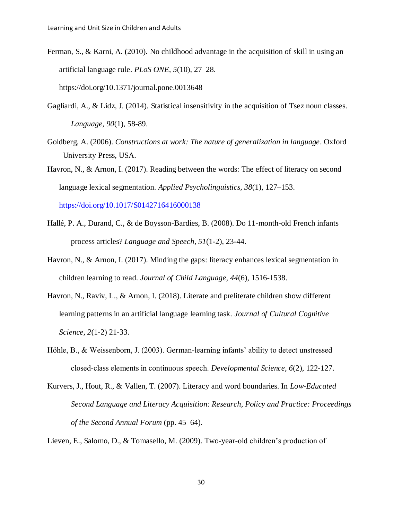- Ferman, S., & Karni, A. (2010). No childhood advantage in the acquisition of skill in using an artificial language rule. *PLoS ONE, 5*(10), 27–28. https://doi.org/10.1371/journal.pone.0013648
- Gagliardi, A., & Lidz, J. (2014). Statistical insensitivity in the acquisition of Tsez noun classes. *Language*, *90*(1), 58-89.
- Goldberg, A. (2006). *Constructions at work: The nature of generalization in language*. Oxford University Press, USA.

Havron, N., & Arnon, I. (2017). Reading between the words: The effect of literacy on second language lexical segmentation. *Applied Psycholinguistics, 38*(1), 127–153. <https://doi.org/10.1017/S0142716416000138>

- Hallé, P. A., Durand, C., & de Boysson-Bardies, B. (2008). Do 11-month-old French infants process articles? *Language and Speech, 51*(1-2), 23-44.
- Havron, N., & Arnon, I. (2017). Minding the gaps: literacy enhances lexical segmentation in children learning to read*. Journal of Child Language, 44*(6), 1516-1538.
- Havron, N., Raviv, L., & Arnon, I. (2018). Literate and preliterate children show different learning patterns in an artificial language learning task. *Journal of Cultural Cognitive Science, 2*(1-2) 21-33.
- Höhle, B., & Weissenborn, J. (2003). German‐learning infants' ability to detect unstressed closed‐class elements in continuous speech. *Developmental Science, 6*(2), 122-127.
- Kurvers, J., Hout, R., & Vallen, T. (2007). Literacy and word boundaries. In *Low-Educated Second Language and Literacy Acquisition: Research, Policy and Practice: Proceedings of the Second Annual Forum* (pp. 45–64).

Lieven, E., Salomo, D., & Tomasello, M. (2009). Two-year-old children's production of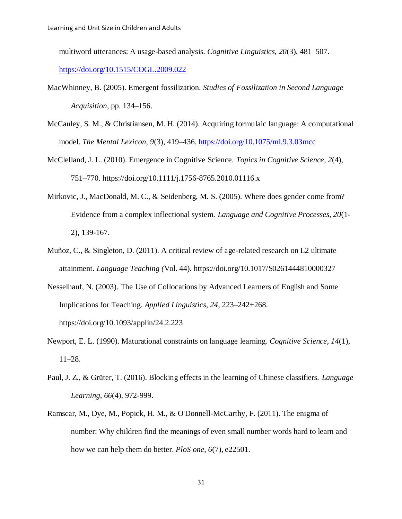multiword utterances: A usage-based analysis. *Cognitive Linguistics, 20*(3), 481–507. <https://doi.org/10.1515/COGL.2009.022>

- MacWhinney, B. (2005). Emergent fossilization. *Studies of Fossilization in Second Language Acquisition*, pp. 134–156.
- McCauley, S. M., & Christiansen, M. H. (2014). Acquiring formulaic language: A computational model. *The Mental Lexicon, 9*(3), 419–436.<https://doi.org/10.1075/ml.9.3.03mcc>
- McClelland, J. L. (2010). Emergence in Cognitive Science. *Topics in Cognitive Science, 2*(4), 751–770. https://doi.org/10.1111/j.1756-8765.2010.01116.x
- Mirkovic, J., MacDonald, M. C., & Seidenberg, M. S. (2005). Where does gender come from? Evidence from a complex inflectional system. *Language and Cognitive Processes, 20*(1- 2), 139-167.
- Muñoz, C., & Singleton, D. (2011). A critical review of age-related research on L2 ultimate attainment. *Language Teaching (*Vol. 44). https://doi.org/10.1017/S0261444810000327
- Nesselhauf, N. (2003). The Use of Collocations by Advanced Learners of English and Some Implications for Teaching. *Applied Linguistics, 24*, 223–242+268. https://doi.org/10.1093/applin/24.2.223
- Newport, E. L. (1990). Maturational constraints on language learning. *Cognitive Science, 14*(1), 11–28.
- Paul, J. Z., & Grüter, T. (2016). Blocking effects in the learning of Chinese classifiers. *Language Learning, 66*(4), 972-999.
- Ramscar, M., Dye, M., Popick, H. M., & O'Donnell-McCarthy, F. (2011). The enigma of number: Why children find the meanings of even small number words hard to learn and how we can help them do better. *PloS one, 6*(7), e22501.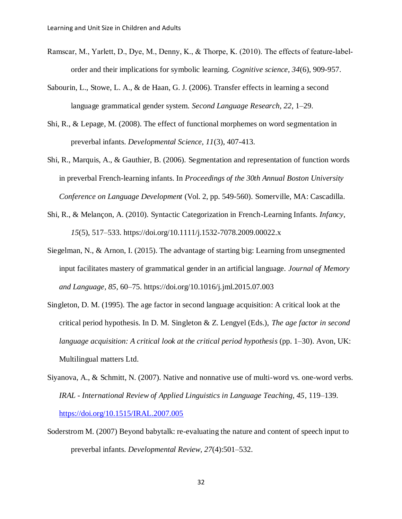- Ramscar, M., Yarlett, D., Dye, M., Denny, K., & Thorpe, K. (2010). The effects of feature‐label‐ order and their implications for symbolic learning. *Cognitive science, 34*(6), 909-957.
- Sabourin, L., Stowe, L. A., & de Haan, G. J. (2006). Transfer effects in learning a second language grammatical gender system. *Second Language Research, 22*, 1–29.
- Shi, R., & Lepage, M. (2008). The effect of functional morphemes on word segmentation in preverbal infants. *Developmental Science, 11*(3), 407-413.
- Shi, R., Marquis, A., & Gauthier, B. (2006). Segmentation and representation of function words in preverbal French-learning infants. In *Proceedings of the 30th Annual Boston University Conference on Language Development* (Vol. 2, pp. 549-560). Somerville, MA: Cascadilla.
- Shi, R., & Melançon, A. (2010). Syntactic Categorization in French-Learning Infants. *Infancy, 15*(5), 517–533. https://doi.org/10.1111/j.1532-7078.2009.00022.x
- Siegelman, N., & Arnon, I. (2015). The advantage of starting big: Learning from unsegmented input facilitates mastery of grammatical gender in an artificial language. *Journal of Memory and Language, 85*, 60–75. https://doi.org/10.1016/j.jml.2015.07.003
- Singleton, D. M. (1995). The age factor in second language acquisition: A critical look at the critical period hypothesis. In D. M. Singleton & Z. Lengyel (Eds.), *The age factor in second language acquisition: A critical look at the critical period hypothesis* (pp. 1–30). Avon, UK: Multilingual matters Ltd.
- Siyanova, A., & Schmitt, N. (2007). Native and nonnative use of multi-word vs. one-word verbs. *IRAL - International Review of Applied Linguistics in Language Teaching, 45*, 119–139. <https://doi.org/10.1515/IRAL.2007.005>
- Soderstrom M. (2007) Beyond babytalk: re-evaluating the nature and content of speech input to preverbal infants. *Developmental Review, 27*(4):501–532.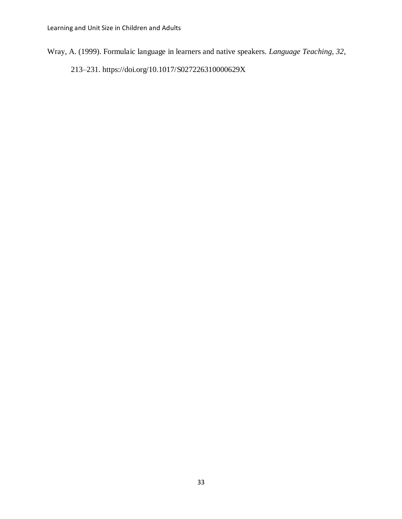Wray, A. (1999). Formulaic language in learners and native speakers. *Language Teaching, 32*,

213–231. https://doi.org/10.1017/S027226310000629X